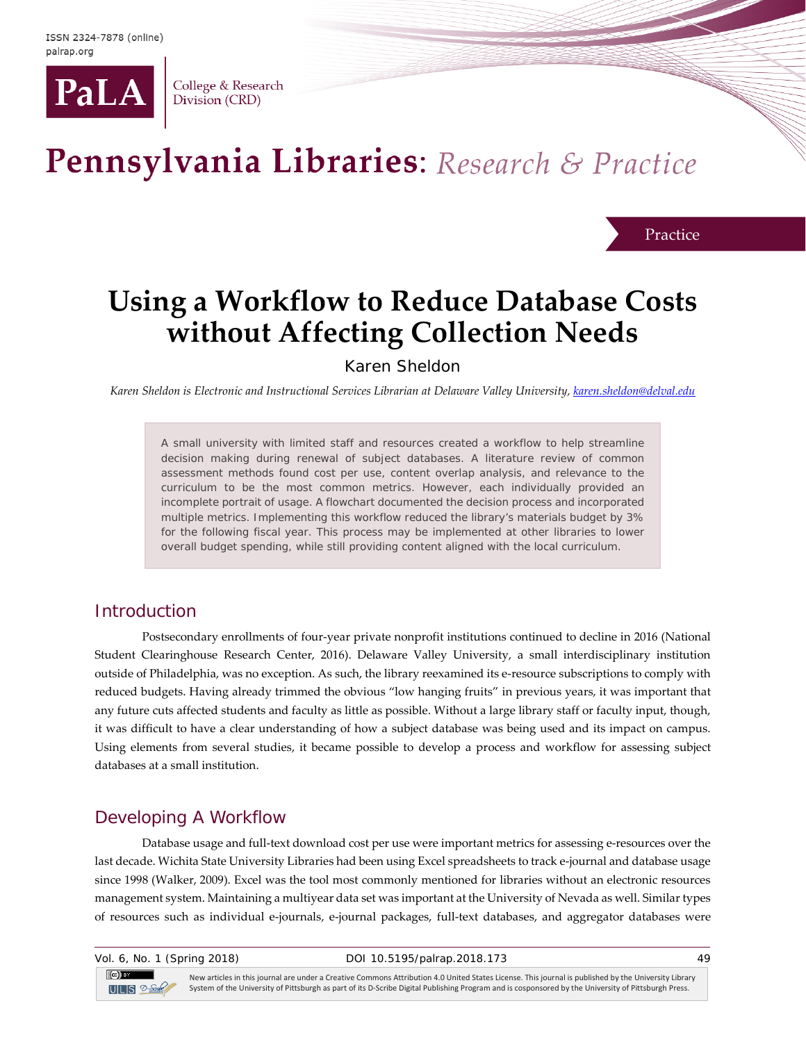

College & Research Division (CRD)

# Pennsylvania Libraries: Research & Practice

Practice

## **Using a Workflow to Reduce Database Costs without Affecting Collection Needs**

Karen Sheldon

*Karen Sheldon is Electronic and Instructional Services Librarian at Delaware Valley University[, karen.sheldon@delval.edu](mailto:karen.sheldon@delval.edu)*

A small university with limited staff and resources created a workflow to help streamline decision making during renewal of subject databases. A literature review of common assessment methods found cost per use, content overlap analysis, and relevance to the curriculum to be the most common metrics. However, each individually provided an incomplete portrait of usage. A flowchart documented the decision process and incorporated multiple metrics. Implementing this workflow reduced the library's materials budget by 3% for the following fiscal year. This process may be implemented at other libraries to lower overall budget spending, while still providing content aligned with the local curriculum.

#### **Introduction**

Postsecondary enrollments of four-year private nonprofit institutions continued to decline in 2016 (National Student Clearinghouse Research Center, 2016). Delaware Valley University, a small interdisciplinary institution outside of Philadelphia, was no exception. As such, the library reexamined its e-resource subscriptions to comply with reduced budgets. Having already trimmed the obvious "low hanging fruits" in previous years, it was important that any future cuts affected students and faculty as little as possible. Without a large library staff or faculty input, though, it was difficult to have a clear understanding of how a subject database was being used and its impact on campus. Using elements from several studies, it became possible to develop a process and workflow for assessing subject databases at a small institution.

## Developing A Workflow

Database usage and full-text download cost per use were important metrics for assessing e-resources over the last decade. Wichita State University Libraries had been using Excel spreadsheets to track e-journal and database usage since 1998 (Walker, 2009). Excel was the tool most commonly mentioned for libraries without an electronic resources management system. Maintaining a multiyear data set was important at the University of Nevada as well. Similar types of resources such as individual e-journals, e-journal packages, full-text databases, and aggregator databases were

 $\left($ cc $\right)$  BY

New articles in this journal are under a Creative Commons Attribution 4.0 United States License. This journal is published by the University Library ULS 2-Sept System of the University of Pittsburgh as part of its D-Scribe Digital Publishing Program and is cosponsored by the University of Pittsburgh Press.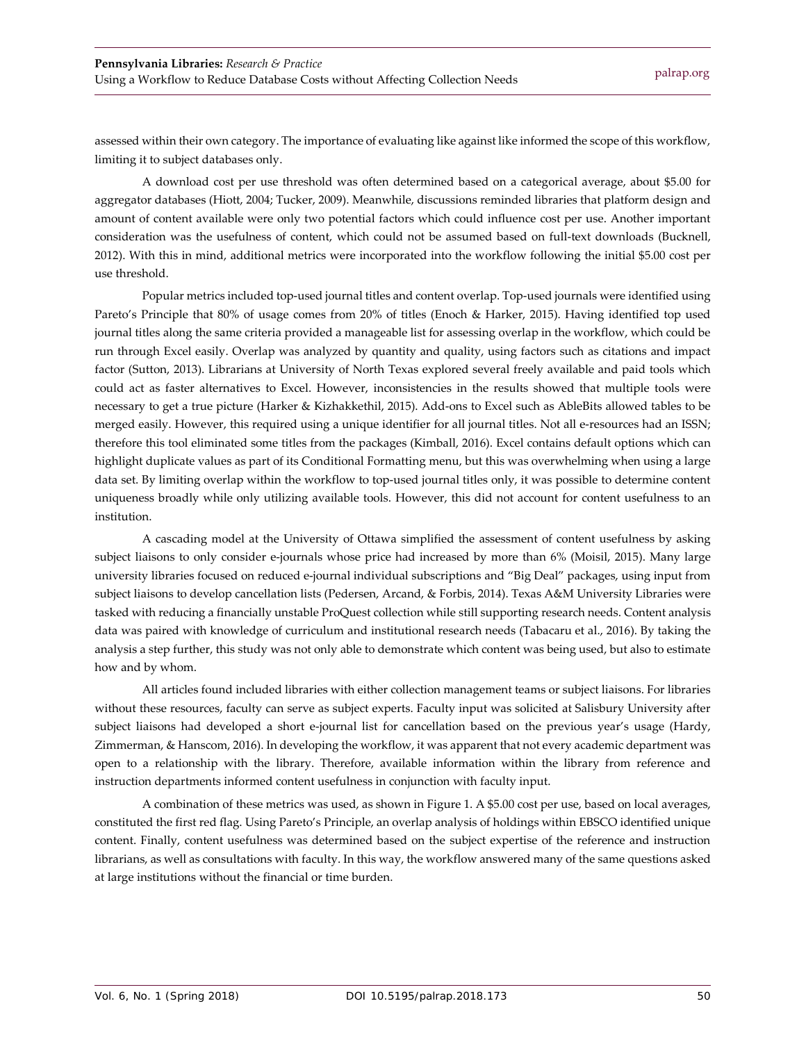assessed within their own category. The importance of evaluating like against like informed the scope of this workflow, limiting it to subject databases only.

A download cost per use threshold was often determined based on a categorical average, about \$5.00 for aggregator databases (Hiott, 2004; Tucker, 2009). Meanwhile, discussions reminded libraries that platform design and amount of content available were only two potential factors which could influence cost per use. Another important consideration was the usefulness of content, which could not be assumed based on full-text downloads (Bucknell, 2012). With this in mind, additional metrics were incorporated into the workflow following the initial \$5.00 cost per use threshold.

Popular metrics included top-used journal titles and content overlap. Top-used journals were identified using Pareto's Principle that 80% of usage comes from 20% of titles (Enoch & Harker, 2015). Having identified top used journal titles along the same criteria provided a manageable list for assessing overlap in the workflow, which could be run through Excel easily. Overlap was analyzed by quantity and quality, using factors such as citations and impact factor (Sutton, 2013). Librarians at University of North Texas explored several freely available and paid tools which could act as faster alternatives to Excel. However, inconsistencies in the results showed that multiple tools were necessary to get a true picture (Harker & Kizhakkethil, 2015). Add-ons to Excel such as AbleBits allowed tables to be merged easily. However, this required using a unique identifier for all journal titles. Not all e-resources had an ISSN; therefore this tool eliminated some titles from the packages (Kimball, 2016). Excel contains default options which can highlight duplicate values as part of its Conditional Formatting menu, but this was overwhelming when using a large data set. By limiting overlap within the workflow to top-used journal titles only, it was possible to determine content uniqueness broadly while only utilizing available tools. However, this did not account for content usefulness to an institution.

A cascading model at the University of Ottawa simplified the assessment of content usefulness by asking subject liaisons to only consider e-journals whose price had increased by more than 6% (Moisil, 2015). Many large university libraries focused on reduced e-journal individual subscriptions and "Big Deal" packages, using input from subject liaisons to develop cancellation lists (Pedersen, Arcand, & Forbis, 2014). Texas A&M University Libraries were tasked with reducing a financially unstable ProQuest collection while still supporting research needs. Content analysis data was paired with knowledge of curriculum and institutional research needs (Tabacaru et al., 2016). By taking the analysis a step further, this study was not only able to demonstrate which content was being used, but also to estimate how and by whom.

All articles found included libraries with either collection management teams or subject liaisons. For libraries without these resources, faculty can serve as subject experts. Faculty input was solicited at Salisbury University after subject liaisons had developed a short e-journal list for cancellation based on the previous year's usage (Hardy, Zimmerman, & Hanscom, 2016). In developing the workflow, it was apparent that not every academic department was open to a relationship with the library. Therefore, available information within the library from reference and instruction departments informed content usefulness in conjunction with faculty input.

A combination of these metrics was used, as shown in Figure 1. A \$5.00 cost per use, based on local averages, constituted the first red flag. Using Pareto's Principle, an overlap analysis of holdings within EBSCO identified unique content. Finally, content usefulness was determined based on the subject expertise of the reference and instruction librarians, as well as consultations with faculty. In this way, the workflow answered many of the same questions asked at large institutions without the financial or time burden.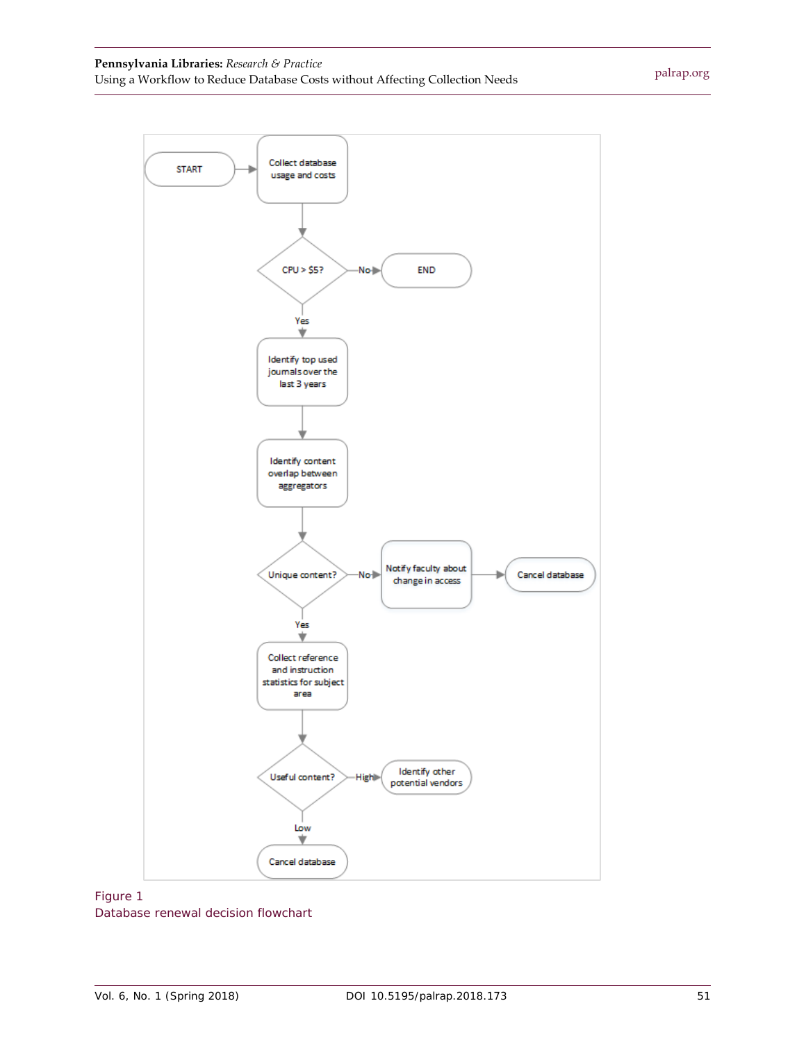#### **Pennsylvania Libraries:** *Research & Practice* Using a Workflow to Reduce Database Costs without Affecting Collection Needs



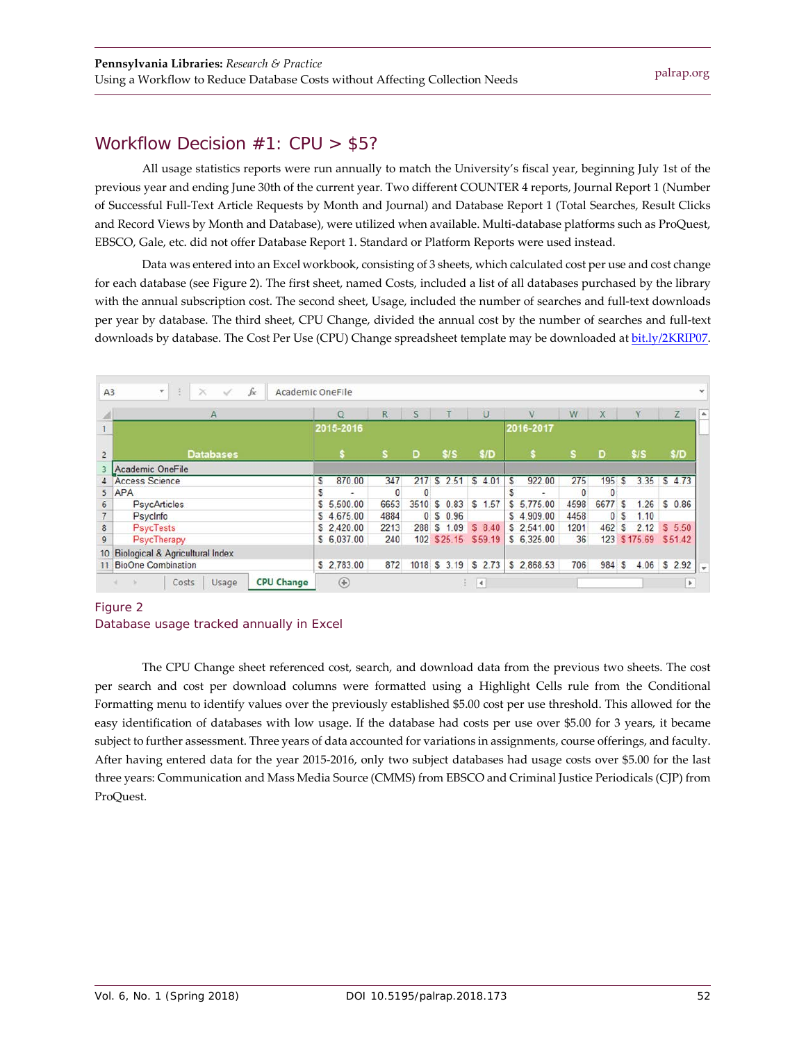## Workflow Decision #1: CPU > \$5?

All usage statistics reports were run annually to match the University's fiscal year, beginning July 1st of the previous year and ending June 30th of the current year. Two different COUNTER 4 reports, Journal Report 1 (Number of Successful Full-Text Article Requests by Month and Journal) and Database Report 1 (Total Searches, Result Clicks and Record Views by Month and Database), were utilized when available. Multi-database platforms such as ProQuest, EBSCO, Gale, etc. did not offer Database Report 1. Standard or Platform Reports were used instead.

Data was entered into an Excel workbook, consisting of 3 sheets, which calculated cost per use and cost change for each database (see Figure 2). The first sheet, named Costs, included a list of all databases purchased by the library with the annual subscription cost. The second sheet, Usage, included the number of searches and full-text downloads per year by database. The third sheet, CPU Change, divided the annual cost by the number of searches and full-text downloads by database. The Cost Per Use (CPU) Change spreadsheet template may be downloaded at [bit.ly/2KRIP07.](https://bit.ly/2KRIP07)

|                 | $\mathsf{A}$                               |   | $\circ$     | R.       | S        |                      | U      |            | V           | W            | X        |    | Y                    | Z        |
|-----------------|--------------------------------------------|---|-------------|----------|----------|----------------------|--------|------------|-------------|--------------|----------|----|----------------------|----------|
|                 |                                            |   | 2015-2016   |          |          |                      |        |            | 2016-2017   |              |          |    |                      |          |
| $\overline{c}$  | <b>Databases</b>                           |   |             | s        | D        | \$1S                 | \$/D   |            |             | s            | D        |    | \$1S                 | \$/D     |
|                 | Academic OneFile                           |   |             |          |          |                      |        |            |             |              |          |    |                      |          |
|                 | <b>Access Science</b>                      | s | 870.00      | 347      |          | 217 \$ 2.51 \$ 4.01  |        | $\sqrt{5}$ | 922.00      | 275          | 195      | s  | 3.35                 | \$4.73   |
| 5               | <b>APA</b>                                 | S | ٠           | $\bf{0}$ | $\bf{0}$ |                      |        |            | ۰           | $\mathbf{0}$ | $\Omega$ |    |                      |          |
|                 | <b>PsycArticles</b>                        |   | \$5,500.00  | 6653     |          | 3510 \$ 0.83 \$ 1.57 |        |            | \$ 5,775.00 | 4598         | 6677 S   |    | 1.26                 | \$0.86   |
|                 | Psycinfo                                   |   | \$4,675.00  | 4884     |          | 0 S 0.96             |        |            | \$4,909.00  | 4458         |          | 0S | 1.10                 |          |
|                 | <b>PsycTests</b>                           |   | \$2,420.00  | 2213     |          | 288 \$ 1.09          | \$8,40 |            | \$2.541.00  | 1201         | 462 S    |    | 2.12                 | \$5,50   |
|                 | PsycTherapy                                |   | \$ 6,037.00 | 240      |          | 102 \$25.15 \$59.19  |        |            | \$6.325.00  | 36           |          |    | 123 \$175.69 \$51.42 |          |
| 10 <sup>°</sup> | <b>Biological &amp; Agricultural Index</b> |   |             |          |          |                      |        |            |             |              |          |    |                      |          |
| 11              | <b>BioOne Combination</b>                  |   | \$2,783.00  | 872      |          | 1018 \$ 3.19 \$ 2.73 |        |            | \$2,868.53  | 706          | 984 S    |    | 4.06                 | $S$ 2.92 |

#### Figure 2



The CPU Change sheet referenced cost, search, and download data from the previous two sheets. The cost per search and cost per download columns were formatted using a Highlight Cells rule from the Conditional Formatting menu to identify values over the previously established \$5.00 cost per use threshold. This allowed for the easy identification of databases with low usage. If the database had costs per use over \$5.00 for 3 years, it became subject to further assessment. Three years of data accounted for variations in assignments, course offerings, and faculty. After having entered data for the year 2015-2016, only two subject databases had usage costs over \$5.00 for the last three years: Communication and Mass Media Source (CMMS) from EBSCO and Criminal Justice Periodicals (CJP) from ProQuest.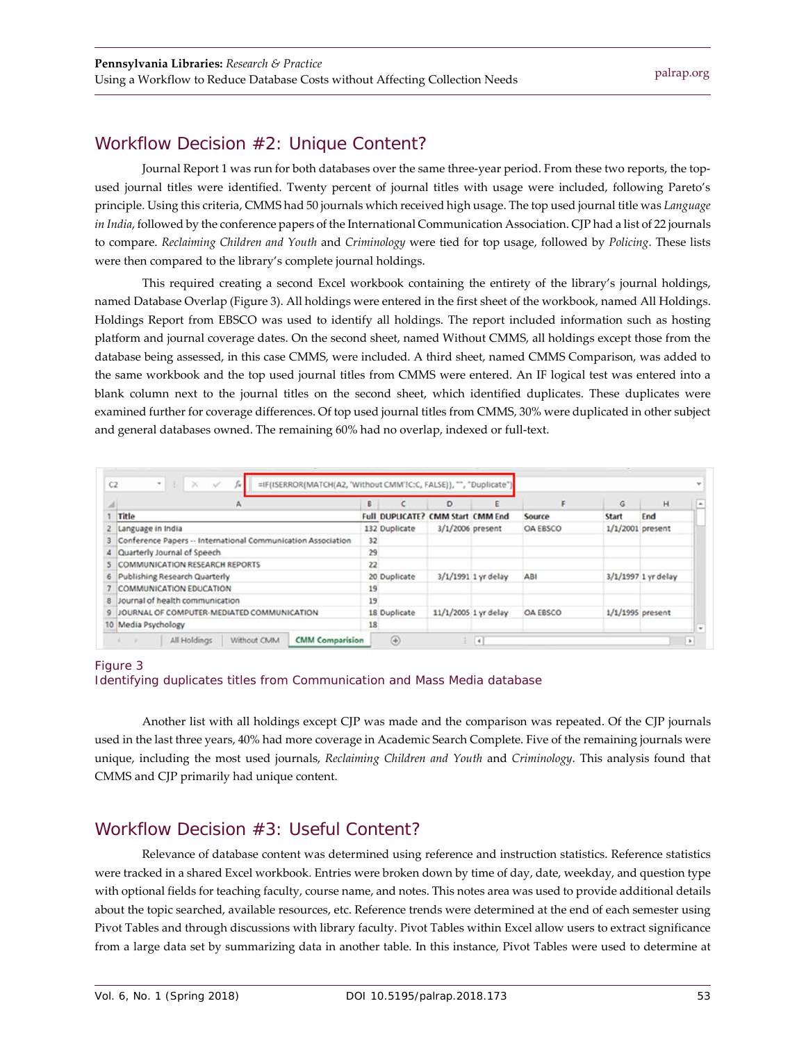## Workflow Decision #2: Unique Content?

Journal Report 1 was run for both databases over the same three-year period. From these two reports, the topused journal titles were identified. Twenty percent of journal titles with usage were included, following Pareto's principle. Using this criteria, CMMS had 50 journals which received high usage. The top used journal title was *Language in India*, followed by the conference papers of the International Communication Association. CJP had a list of 22 journals to compare. *Reclaiming Children and Youth* and *Criminology* were tied for top usage, followed by *Policing*. These lists were then compared to the library's complete journal holdings.

This required creating a second Excel workbook containing the entirety of the library's journal holdings, named Database Overlap (Figure 3). All holdings were entered in the first sheet of the workbook, named All Holdings. Holdings Report from EBSCO was used to identify all holdings. The report included information such as hosting platform and journal coverage dates. On the second sheet, named Without CMMS, all holdings except those from the database being assessed, in this case CMMS, were included. A third sheet, named CMMS Comparison, was added to the same workbook and the top used journal titles from CMMS were entered. An IF logical test was entered into a blank column next to the journal titles on the second sheet, which identified duplicates. These duplicates were examined further for coverage differences. Of top used journal titles from CMMS, 30% were duplicated in other subject and general databases owned. The remaining 60% had no overlap, indexed or full-text.

|   |                                                              | B) |                        | D                        |                      |                 | G            | н                   | Ŀ    |
|---|--------------------------------------------------------------|----|------------------------|--------------------------|----------------------|-----------------|--------------|---------------------|------|
|   | Title                                                        |    | <b>Full DUPLICATE?</b> | <b>CMM Start CMM End</b> |                      | Source          | <b>Start</b> | End                 |      |
|   | Language in India                                            |    | 132 Duplicate          | 3/1/2006 present         |                      | <b>OA EBSCO</b> |              | $1/1/2001$ present  |      |
|   | Conference Papers -- International Communication Association | 32 |                        |                          |                      |                 |              |                     |      |
|   | Quarterly Journal of Speech                                  |    | 29                     |                          |                      |                 |              |                     |      |
|   | <b>COMMUNICATION RESEARCH REPORTS</b>                        |    | 22                     |                          |                      |                 |              |                     |      |
| 6 | Publishing Research Quarterly                                |    | 20 Duplicate           |                          | 3/1/1991 1 yr delay  | ABI             |              | 3/1/1997 1 yr delay |      |
|   | <b>COMMUNICATION EDUCATION</b>                               |    | 19                     |                          |                      |                 |              |                     |      |
| 8 | Journal of health communication                              | 19 |                        |                          |                      |                 |              |                     |      |
| 9 | JOURNAL OF COMPUTER-MEDIATED COMMUNICATION                   |    | 18 Duplicate           |                          | 11/1/2005 1 yr delay | OA EBSCO        |              | $1/1/1995$ present  |      |
|   | 10 Media Psychology                                          | 18 |                        |                          |                      |                 |              |                     | $\;$ |

#### *Figure 3 Identifying duplicates titles from Communication and Mass Media database*

Another list with all holdings except CJP was made and the comparison was repeated. Of the CJP journals used in the last three years, 40% had more coverage in Academic Search Complete. Five of the remaining journals were unique, including the most used journals, *Reclaiming Children and Youth* and *Criminology*. This analysis found that CMMS and CJP primarily had unique content.

## Workflow Decision #3: Useful Content?

Relevance of database content was determined using reference and instruction statistics. Reference statistics were tracked in a shared Excel workbook. Entries were broken down by time of day, date, weekday, and question type with optional fields for teaching faculty, course name, and notes. This notes area was used to provide additional details about the topic searched, available resources, etc. Reference trends were determined at the end of each semester using Pivot Tables and through discussions with library faculty. Pivot Tables within Excel allow users to extract significance from a large data set by summarizing data in another table. In this instance, Pivot Tables were used to determine at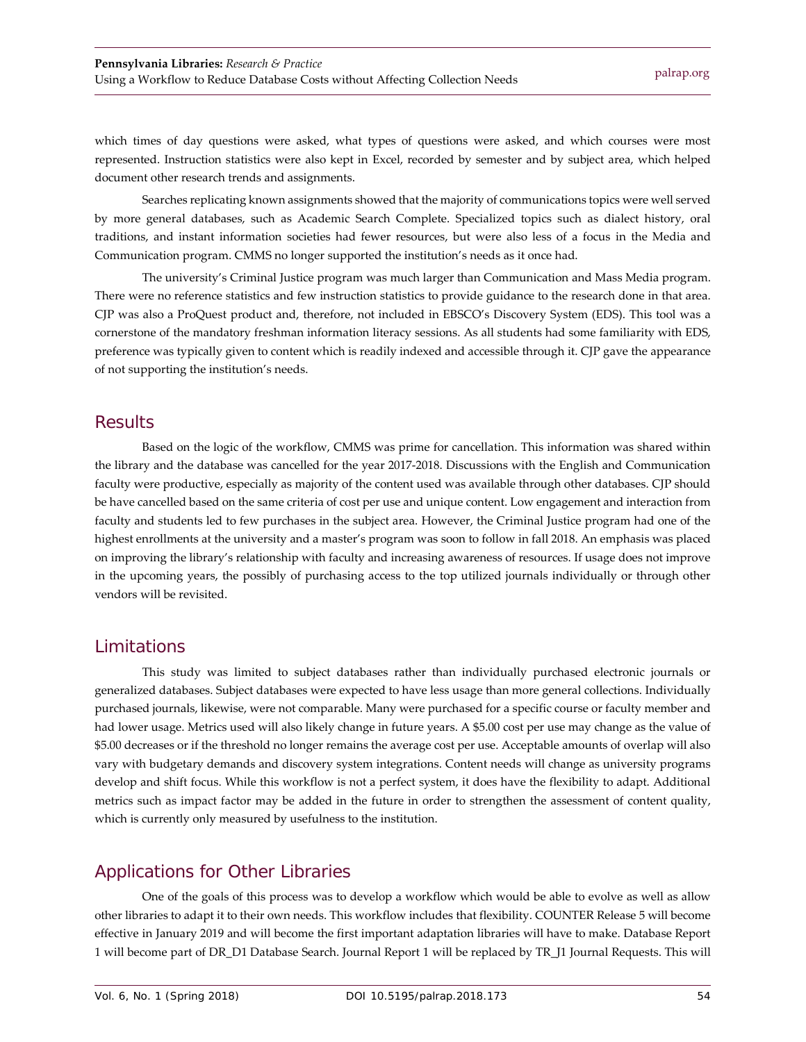which times of day questions were asked, what types of questions were asked, and which courses were most represented. Instruction statistics were also kept in Excel, recorded by semester and by subject area, which helped document other research trends and assignments.

Searches replicating known assignments showed that the majority of communications topics were well served by more general databases, such as Academic Search Complete. Specialized topics such as dialect history, oral traditions, and instant information societies had fewer resources, but were also less of a focus in the Media and Communication program. CMMS no longer supported the institution's needs as it once had.

The university's Criminal Justice program was much larger than Communication and Mass Media program. There were no reference statistics and few instruction statistics to provide guidance to the research done in that area. CJP was also a ProQuest product and, therefore, not included in EBSCO's Discovery System (EDS). This tool was a cornerstone of the mandatory freshman information literacy sessions. As all students had some familiarity with EDS, preference was typically given to content which is readily indexed and accessible through it. CJP gave the appearance of not supporting the institution's needs.

#### **Results**

Based on the logic of the workflow, CMMS was prime for cancellation. This information was shared within the library and the database was cancelled for the year 2017-2018. Discussions with the English and Communication faculty were productive, especially as majority of the content used was available through other databases. CJP should be have cancelled based on the same criteria of cost per use and unique content. Low engagement and interaction from faculty and students led to few purchases in the subject area. However, the Criminal Justice program had one of the highest enrollments at the university and a master's program was soon to follow in fall 2018. An emphasis was placed on improving the library's relationship with faculty and increasing awareness of resources. If usage does not improve in the upcoming years, the possibly of purchasing access to the top utilized journals individually or through other vendors will be revisited.

## Limitations

This study was limited to subject databases rather than individually purchased electronic journals or generalized databases. Subject databases were expected to have less usage than more general collections. Individually purchased journals, likewise, were not comparable. Many were purchased for a specific course or faculty member and had lower usage. Metrics used will also likely change in future years. A \$5.00 cost per use may change as the value of \$5.00 decreases or if the threshold no longer remains the average cost per use. Acceptable amounts of overlap will also vary with budgetary demands and discovery system integrations. Content needs will change as university programs develop and shift focus. While this workflow is not a perfect system, it does have the flexibility to adapt. Additional metrics such as impact factor may be added in the future in order to strengthen the assessment of content quality, which is currently only measured by usefulness to the institution.

## Applications for Other Libraries

One of the goals of this process was to develop a workflow which would be able to evolve as well as allow other libraries to adapt it to their own needs. This workflow includes that flexibility. COUNTER Release 5 will become effective in January 2019 and will become the first important adaptation libraries will have to make. Database Report 1 will become part of DR\_D1 Database Search. Journal Report 1 will be replaced by TR\_J1 Journal Requests. This will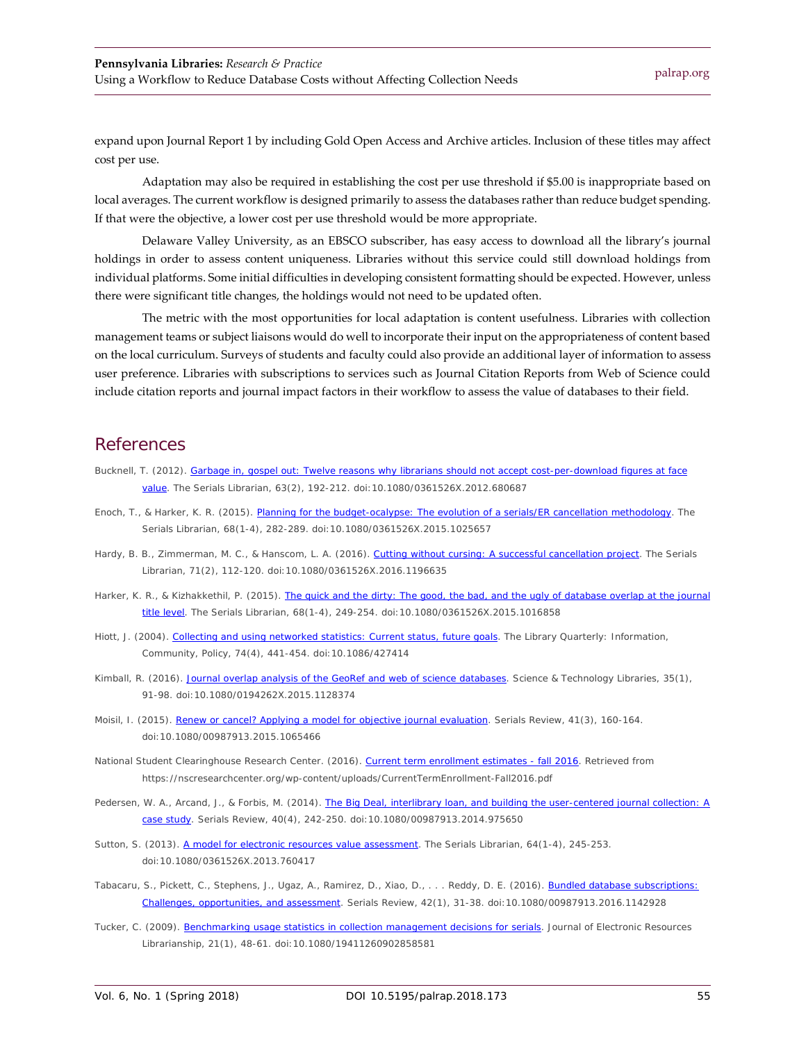expand upon Journal Report 1 by including Gold Open Access and Archive articles. Inclusion of these titles may affect cost per use.

Adaptation may also be required in establishing the cost per use threshold if \$5.00 is inappropriate based on local averages. The current workflow is designed primarily to assess the databases rather than reduce budget spending. If that were the objective, a lower cost per use threshold would be more appropriate.

Delaware Valley University, as an EBSCO subscriber, has easy access to download all the library's journal holdings in order to assess content uniqueness. Libraries without this service could still download holdings from individual platforms. Some initial difficulties in developing consistent formatting should be expected. However, unless there were significant title changes, the holdings would not need to be updated often.

The metric with the most opportunities for local adaptation is content usefulness. Libraries with collection management teams or subject liaisons would do well to incorporate their input on the appropriateness of content based on the local curriculum. Surveys of students and faculty could also provide an additional layer of information to assess user preference. Libraries with subscriptions to services such as Journal Citation Reports from Web of Science could include citation reports and journal impact factors in their workflow to assess the value of databases to their field.

#### References

- Bucknell, T. (2012). Garbage in, gospel out: Twelve reasons why librarians should not accept cost-per-download figures at face [value.](https://doi.org/10.1080/0361526X.2012.680687) *The Serials Librarian, 63*(2), 192-212. doi:10.1080/0361526X.2012.680687
- Enoch, T., & Harker, K. R. (2015). [Planning for the budget-ocalypse: The evolution of a serials/ER cancellation methodology.](https://doi.org/10.1080/0361526X.2015.1025657) *The Serials Librarian, 68*(1-4), 282-289. doi:10.1080/0361526X.2015.1025657
- Hardy, B. B., Zimmerman, M. C., & Hanscom, L. A. (2016). [Cutting without cursing: A successful](https://doi.org/10.1080/0361526X.2016.1196635) cancellation project. *The Serials Librarian, 71*(2), 112-120. doi:10.1080/0361526X.2016.1196635
- Harker, K. R., & Kizhakkethil, P. (2015). [The quick and the dirty: The good, the bad, and the ugly](https://doi.org/10.1080/0361526X.2015.1016858) of database overlap at the journal [title level.](https://doi.org/10.1080/0361526X.2015.1016858) *The Serials Librarian, 68*(1-4), 249-254. doi:10.1080/0361526X.2015.1016858
- Hiott, J. (2004). [Collecting and using networked statistics: Current status, future](http://dx.doi.org/10.1086/427414) goals. *The Library Quarterly: Information, Community, Policy, 74*(4), 441-454. doi:10.1086/427414
- Kimball, R. (2016). [Journal overlap analysis of the GeoRef and web of science databases.](https://doi.org/10.1080/0194262X.2015.1128374) *Science & Technology Libraries, 35*(1), 91-98. doi:10.1080/0194262X.2015.1128374
- Moisil, I. (2015)[. Renew or cancel? Applying a model for objective journal evaluation.](https://doi.org/10.1080/00987913.2015.1065466) *Serials Review, 41*(3), 160-164. doi:10.1080/00987913.2015.1065466
- National Student Clearinghouse Research Center. (2016). *[Current term enrollment estimates -](https://nscresearchcenter.org/wp-content/uploads/CurrentTermEnrollment-Fall2016.pdf) fall 2016.* Retrieved from https://nscresearchcenter.org/wp-content/uploads/CurrentTermEnrollment-Fall2016.pdf
- Pedersen, W. A., Arcand, J., & Forbis, M. (2014). The Big Deal, interlibrary loan, and building the user-centered journal collection: A [case study.](https://doi.org/10.1080/00987913.2014.975650) *Serials Review, 40*(4), 242-250. doi:10.1080/00987913.2014.975650
- Sutton, S. (2013). [A model for electronic resources value assessment.](http://dx.doi.org/10.1080/0361526X.2013.760417) *The Serials Librarian, 64*(1-4), 245-253. doi:10.1080/0361526X.2013.760417
- Tabacaru, S., Pickett, C., Stephens, J., Ugaz, A., Ramirez, D., Xiao, D., ... Reddy, D. E. (2016). Bundled database subscriptions: [Challenges, opportunities, and assessment.](https://doi.org/10.1080/00987913.2016.1142928) *Serials Review, 42*(1), 31-38. doi:10.1080/00987913.2016.1142928
- Tucker, C. (2009). [Benchmarking usage statistics in collection management decisions for serials.](https://doi.org/10.1080/19411260902858581) *Journal of Electronic Resources Librarianship, 21*(1), 48-61. doi:10.1080/19411260902858581